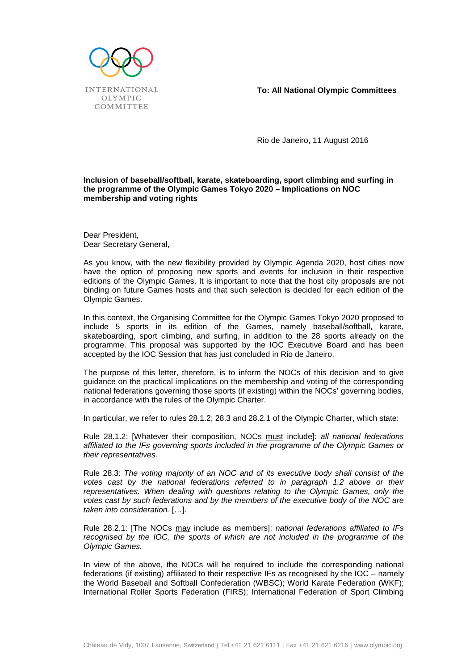

**To: All National Olympic Committees**

Rio de Janeiro, 11 August 2016

## **Inclusion of baseball/softball, karate, skateboarding, sport climbing and surfing in the programme of the Olympic Games Tokyo 2020 – Implications on NOC membership and voting rights**

Dear President, Dear Secretary General,

As you know, with the new flexibility provided by Olympic Agenda 2020, host cities now have the option of proposing new sports and events for inclusion in their respective editions of the Olympic Games. It is important to note that the host city proposals are not binding on future Games hosts and that such selection is decided for each edition of the Olympic Games.

In this context, the Organising Committee for the Olympic Games Tokyo 2020 proposed to include 5 sports in its edition of the Games, namely baseball/softball, karate, skateboarding, sport climbing, and surfing, in addition to the 28 sports already on the programme. This proposal was supported by the IOC Executive Board and has been accepted by the IOC Session that has just concluded in Rio de Janeiro.

The purpose of this letter, therefore, is to inform the NOCs of this decision and to give guidance on the practical implications on the membership and voting of the corresponding national federations governing those sports (if existing) within the NOCs' governing bodies, in accordance with the rules of the Olympic Charter.

In particular, we refer to rules 28.1.2; 28.3 and 28.2.1 of the Olympic Charter, which state:

Rule 28.1.2: [Whatever their composition, NOCs must include]: *all national federations affiliated to the IFs governing sports included in the programme of the Olympic Games or their representatives.*

Rule 28.3: *The voting majority of an NOC and of its executive body shall consist of the votes cast by the national federations referred to in paragraph 1.2 above or their representatives. When dealing with questions relating to the Olympic Games, only the votes cast by such federations and by the members of the executive body of the NOC are taken into consideration.* […].

Rule 28.2.1: [The NOCs may include as members]: *national federations affiliated to IFs*  recognised by the IOC, the sports of which are not included in the programme of the *Olympic Games.* 

In view of the above, the NOCs will be required to include the corresponding national federations (if existing) affiliated to their respective IFs as recognised by the IOC – namely the World Baseball and Softball Confederation (WBSC); World Karate Federation (WKF); International Roller Sports Federation (FIRS); International Federation of Sport Climbing